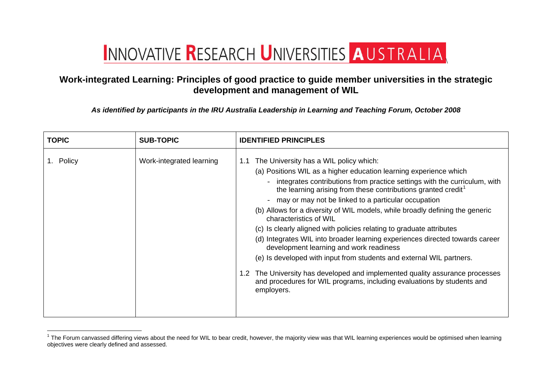## INNOVATIVE RESEARCH UNIVERSITIES AUSTRALIA

## **Work-integrated Learning: Principles of good practice to guide member universities in the strategic development and management of WIL**

*As identified by participants in the IRU Australia Leadership in Learning and Teaching Forum, October 2008* 

| <b>TOPIC</b> | <b>SUB-TOPIC</b>         | <b>IDENTIFIED PRINCIPLES</b>                                                                                                                                                                                                                                                                                                                                                                                                                                                                                                                                                                                                                                                                                                                                                                                                                                                                       |
|--------------|--------------------------|----------------------------------------------------------------------------------------------------------------------------------------------------------------------------------------------------------------------------------------------------------------------------------------------------------------------------------------------------------------------------------------------------------------------------------------------------------------------------------------------------------------------------------------------------------------------------------------------------------------------------------------------------------------------------------------------------------------------------------------------------------------------------------------------------------------------------------------------------------------------------------------------------|
| Policy       | Work-integrated learning | The University has a WIL policy which:<br>1.1<br>(a) Positions WIL as a higher education learning experience which<br>integrates contributions from practice settings with the curriculum, with<br>the learning arising from these contributions granted credit <sup>1</sup><br>- may or may not be linked to a particular occupation<br>(b) Allows for a diversity of WIL models, while broadly defining the generic<br>characteristics of WIL<br>(c) Is clearly aligned with policies relating to graduate attributes<br>(d) Integrates WIL into broader learning experiences directed towards career<br>development learning and work readiness<br>(e) Is developed with input from students and external WIL partners.<br>1.2 The University has developed and implemented quality assurance processes<br>and procedures for WIL programs, including evaluations by students and<br>employers. |

<span id="page-0-0"></span> $1$  The Forum canvassed differing views about the need for WIL to bear credit, however, the majority view was that WIL learning experiences would be optimised when learning objectives were clearly defined and assessed.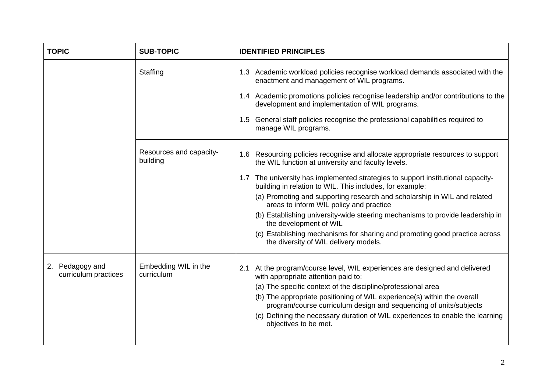| <b>TOPIC</b>                            | <b>SUB-TOPIC</b>                    | <b>IDENTIFIED PRINCIPLES</b>                                                                                                                 |
|-----------------------------------------|-------------------------------------|----------------------------------------------------------------------------------------------------------------------------------------------|
|                                         | Staffing                            | 1.3 Academic workload policies recognise workload demands associated with the<br>enactment and management of WIL programs.                   |
|                                         |                                     | 1.4 Academic promotions policies recognise leadership and/or contributions to the<br>development and implementation of WIL programs.         |
|                                         |                                     | General staff policies recognise the professional capabilities required to<br>$1.5^{\circ}$<br>manage WIL programs.                          |
|                                         | Resources and capacity-<br>building | 1.6 Resourcing policies recognise and allocate appropriate resources to support<br>the WIL function at university and faculty levels.        |
|                                         |                                     | 1.7 The university has implemented strategies to support institutional capacity-<br>building in relation to WIL. This includes, for example: |
|                                         |                                     | (a) Promoting and supporting research and scholarship in WIL and related<br>areas to inform WIL policy and practice                          |
|                                         |                                     | (b) Establishing university-wide steering mechanisms to provide leadership in<br>the development of WIL                                      |
|                                         |                                     | (c) Establishing mechanisms for sharing and promoting good practice across<br>the diversity of WIL delivery models.                          |
| 2. Pedagogy and<br>curriculum practices | Embedding WIL in the<br>curriculum  | 2.1 At the program/course level, WIL experiences are designed and delivered<br>with appropriate attention paid to:                           |
|                                         |                                     | (a) The specific context of the discipline/professional area                                                                                 |
|                                         |                                     | (b) The appropriate positioning of WIL experience(s) within the overall<br>program/course curriculum design and sequencing of units/subjects |
|                                         |                                     | (c) Defining the necessary duration of WIL experiences to enable the learning<br>objectives to be met.                                       |
|                                         |                                     |                                                                                                                                              |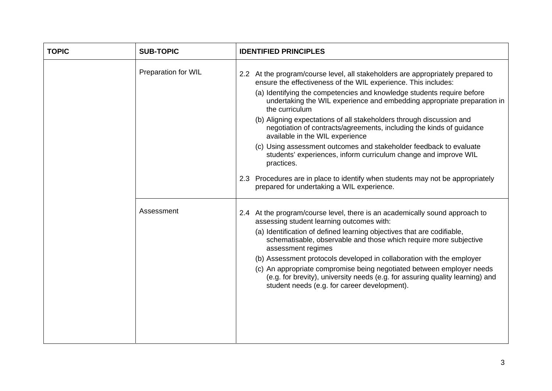| <b>TOPIC</b> | <b>SUB-TOPIC</b>    | <b>IDENTIFIED PRINCIPLES</b>                                                                                                                                                                                                                                                                           |
|--------------|---------------------|--------------------------------------------------------------------------------------------------------------------------------------------------------------------------------------------------------------------------------------------------------------------------------------------------------|
|              | Preparation for WIL | 2.2 At the program/course level, all stakeholders are appropriately prepared to<br>ensure the effectiveness of the WIL experience. This includes:<br>(a) Identifying the competencies and knowledge students require before<br>undertaking the WIL experience and embedding appropriate preparation in |
|              |                     | the curriculum<br>(b) Aligning expectations of all stakeholders through discussion and<br>negotiation of contracts/agreements, including the kinds of guidance<br>available in the WIL experience                                                                                                      |
|              |                     | (c) Using assessment outcomes and stakeholder feedback to evaluate<br>students' experiences, inform curriculum change and improve WIL<br>practices.                                                                                                                                                    |
|              |                     | 2.3 Procedures are in place to identify when students may not be appropriately<br>prepared for undertaking a WIL experience.                                                                                                                                                                           |
|              | Assessment          | 2.4 At the program/course level, there is an academically sound approach to<br>assessing student learning outcomes with:                                                                                                                                                                               |
|              |                     | (a) Identification of defined learning objectives that are codifiable,<br>schematisable, observable and those which require more subjective<br>assessment regimes                                                                                                                                      |
|              |                     | (b) Assessment protocols developed in collaboration with the employer                                                                                                                                                                                                                                  |
|              |                     | (c) An appropriate compromise being negotiated between employer needs<br>(e.g. for brevity), university needs (e.g. for assuring quality learning) and<br>student needs (e.g. for career development).                                                                                                 |
|              |                     |                                                                                                                                                                                                                                                                                                        |
|              |                     |                                                                                                                                                                                                                                                                                                        |